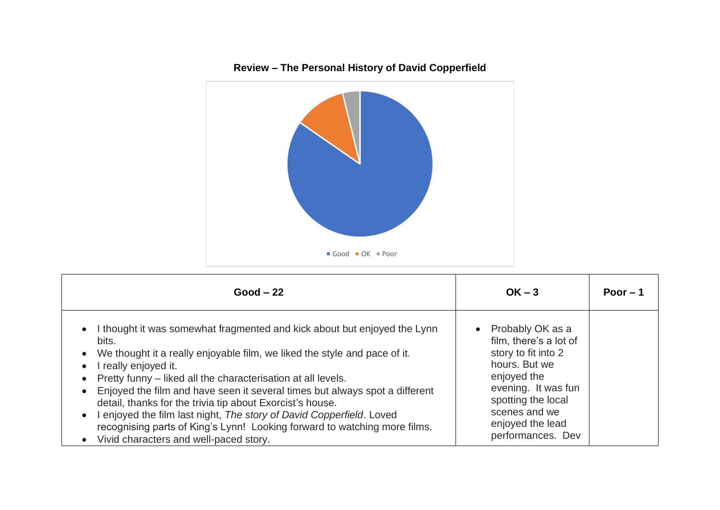

| $Good - 22$                                                                                                                                                                                                                                                                                                                                                                                                                                                                                                                                                                                                                                                                 | $OK - 3$                                                                                                                                                                                                 | Poor $-1$ |
|-----------------------------------------------------------------------------------------------------------------------------------------------------------------------------------------------------------------------------------------------------------------------------------------------------------------------------------------------------------------------------------------------------------------------------------------------------------------------------------------------------------------------------------------------------------------------------------------------------------------------------------------------------------------------------|----------------------------------------------------------------------------------------------------------------------------------------------------------------------------------------------------------|-----------|
| I thought it was somewhat fragmented and kick about but enjoyed the Lynn<br>$\bullet$<br>bits.<br>We thought it a really enjoyable film, we liked the style and pace of it.<br>$\bullet$<br>really enjoyed it.<br>$\bullet$<br>Pretty funny – liked all the characterisation at all levels.<br>Enjoyed the film and have seen it several times but always spot a different<br>$\bullet$<br>detail, thanks for the trivia tip about Exorcist's house.<br>enjoyed the film last night, The story of David Copperfield. Loved<br>$\bullet$<br>recognising parts of King's Lynn! Looking forward to watching more films.<br>Vivid characters and well-paced story.<br>$\bullet$ | Probably OK as a<br>film, there's a lot of<br>story to fit into 2<br>hours. But we<br>enjoyed the<br>evening. It was fun<br>spotting the local<br>scenes and we<br>enjoyed the lead<br>performances. Dev |           |

## **Review – The Personal History of David Copperfield**